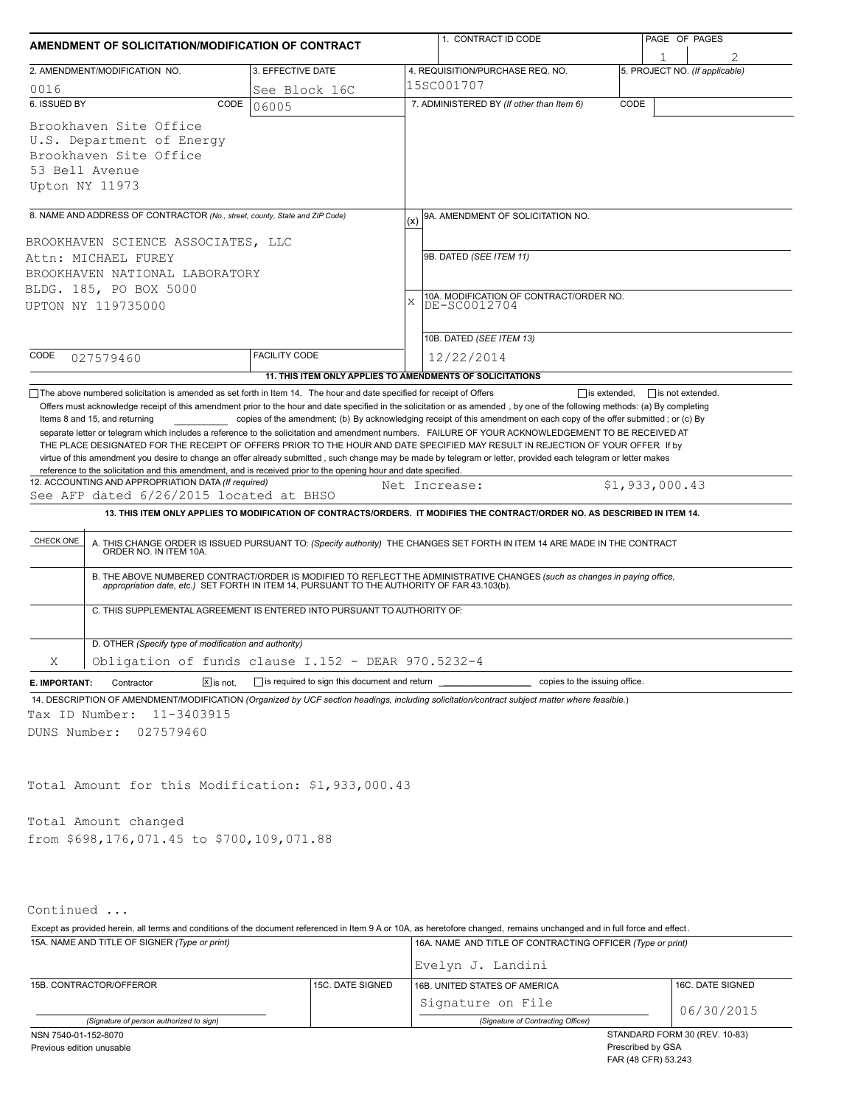| AMENDMENT OF SOLICITATION/MODIFICATION OF CONTRACT                                                                                                                                                                                                                                                                                                                                                                                                                                                                                                                                                                                                                                                  |                                                           |          | 1. CONTRACT ID CODE                                                                                                                                                                                                                                                                                                                                                                                                                                                                                   | PAGE OF PAGES                  |  |  |  |  |
|-----------------------------------------------------------------------------------------------------------------------------------------------------------------------------------------------------------------------------------------------------------------------------------------------------------------------------------------------------------------------------------------------------------------------------------------------------------------------------------------------------------------------------------------------------------------------------------------------------------------------------------------------------------------------------------------------------|-----------------------------------------------------------|----------|-------------------------------------------------------------------------------------------------------------------------------------------------------------------------------------------------------------------------------------------------------------------------------------------------------------------------------------------------------------------------------------------------------------------------------------------------------------------------------------------------------|--------------------------------|--|--|--|--|
| 3. EFFECTIVE DATE                                                                                                                                                                                                                                                                                                                                                                                                                                                                                                                                                                                                                                                                                   |                                                           |          |                                                                                                                                                                                                                                                                                                                                                                                                                                                                                                       |                                |  |  |  |  |
| 2. AMENDMENT/MODIFICATION NO.                                                                                                                                                                                                                                                                                                                                                                                                                                                                                                                                                                                                                                                                       |                                                           |          | 4. REQUISITION/PURCHASE REQ. NO.<br>15SC001707                                                                                                                                                                                                                                                                                                                                                                                                                                                        | 5. PROJECT NO. (If applicable) |  |  |  |  |
| 0016<br>6. ISSUED BY<br>CODE                                                                                                                                                                                                                                                                                                                                                                                                                                                                                                                                                                                                                                                                        | See Block 16C<br>06005                                    |          | 7. ADMINISTERED BY (If other than Item 6)                                                                                                                                                                                                                                                                                                                                                                                                                                                             | CODE                           |  |  |  |  |
| Brookhaven Site Office<br>U.S. Department of Energy<br>Brookhaven Site Office<br>53 Bell Avenue<br>Upton NY 11973                                                                                                                                                                                                                                                                                                                                                                                                                                                                                                                                                                                   |                                                           |          |                                                                                                                                                                                                                                                                                                                                                                                                                                                                                                       |                                |  |  |  |  |
| 8. NAME AND ADDRESS OF CONTRACTOR (No., street, county, State and ZIP Code)                                                                                                                                                                                                                                                                                                                                                                                                                                                                                                                                                                                                                         |                                                           |          | 9A. AMENDMENT OF SOLICITATION NO.                                                                                                                                                                                                                                                                                                                                                                                                                                                                     |                                |  |  |  |  |
| BROOKHAVEN SCIENCE ASSOCIATES, LLC<br>Attn: MICHAEL FUREY<br>BROOKHAVEN NATIONAL LABORATORY<br>BLDG. 185, PO BOX 5000<br>UPTON NY 119735000                                                                                                                                                                                                                                                                                                                                                                                                                                                                                                                                                         |                                                           | (x)<br>X | 9B. DATED (SEE ITEM 11)<br>10A. MODIFICATION OF CONTRACT/ORDER NO.<br>DE-SC0012704<br>10B. DATED (SEE ITEM 13)                                                                                                                                                                                                                                                                                                                                                                                        |                                |  |  |  |  |
| CODE<br>027579460                                                                                                                                                                                                                                                                                                                                                                                                                                                                                                                                                                                                                                                                                   | <b>FACILITY CODE</b>                                      |          | 12/22/2014                                                                                                                                                                                                                                                                                                                                                                                                                                                                                            |                                |  |  |  |  |
|                                                                                                                                                                                                                                                                                                                                                                                                                                                                                                                                                                                                                                                                                                     | 11. THIS ITEM ONLY APPLIES TO AMENDMENTS OF SOLICITATIONS |          |                                                                                                                                                                                                                                                                                                                                                                                                                                                                                                       |                                |  |  |  |  |
| THE PLACE DESIGNATED FOR THE RECEIPT OF OFFERS PRIOR TO THE HOUR AND DATE SPECIFIED MAY RESULT IN REJECTION OF YOUR OFFER If by<br>virtue of this amendment you desire to change an offer already submitted, such change may be made by telegram or letter, provided each telegram or letter makes<br>reference to the solicitation and this amendment, and is received prior to the opening hour and date specified.<br>12. ACCOUNTING AND APPROPRIATION DATA (If required)<br>See AFP dated 6/26/2015 located at BHSO<br>CHECK ONE<br>ORDER NO. IN ITEM 10A.<br>C. THIS SUPPLEMENTAL AGREEMENT IS ENTERED INTO PURSUANT TO AUTHORITY OF:<br>D. OTHER (Specify type of modification and authority) |                                                           |          | Net Increase:<br>13. THIS ITEM ONLY APPLIES TO MODIFICATION OF CONTRACTS/ORDERS. IT MODIFIES THE CONTRACT/ORDER NO. AS DESCRIBED IN ITEM 14.<br>A. THIS CHANGE ORDER IS ISSUED PURSUANT TO: (Specify authority) THE CHANGES SET FORTH IN ITEM 14 ARE MADE IN THE CONTRACT<br>B. THE ABOVE NUMBERED CONTRACT/ORDER IS MODIFIED TO REFLECT THE ADMINISTRATIVE CHANGES (such as changes in paying office,<br>appropriation date, etc.) SET FORTH IN ITEM 14, PURSUANT TO THE AUTHORITY OF FAR 43.103(b). | \$1,933,000.43                 |  |  |  |  |
| Obligation of funds clause I.152 - DEAR 970.5232-4<br>Χ                                                                                                                                                                                                                                                                                                                                                                                                                                                                                                                                                                                                                                             |                                                           |          |                                                                                                                                                                                                                                                                                                                                                                                                                                                                                                       |                                |  |  |  |  |
| $X$ is not.<br>Contractor<br>E. IMPORTANT:<br>14. DESCRIPTION OF AMENDMENT/MODIFICATION (Organized by UCF section headings, including solicitation/contract subject matter where feasible.)<br>11-3403915<br>Tax ID Number:<br>DUNS Number:<br>027579460                                                                                                                                                                                                                                                                                                                                                                                                                                            | $\Box$ is required to sign this document and return       |          | copies to the issuing office.                                                                                                                                                                                                                                                                                                                                                                                                                                                                         |                                |  |  |  |  |
| Total Amount for this Modification: \$1,933,000.43                                                                                                                                                                                                                                                                                                                                                                                                                                                                                                                                                                                                                                                  |                                                           |          |                                                                                                                                                                                                                                                                                                                                                                                                                                                                                                       |                                |  |  |  |  |
| Total Amount changed                                                                                                                                                                                                                                                                                                                                                                                                                                                                                                                                                                                                                                                                                |                                                           |          |                                                                                                                                                                                                                                                                                                                                                                                                                                                                                                       |                                |  |  |  |  |
| from \$698,176,071.45 to \$700,109,071.88                                                                                                                                                                                                                                                                                                                                                                                                                                                                                                                                                                                                                                                           |                                                           |          |                                                                                                                                                                                                                                                                                                                                                                                                                                                                                                       |                                |  |  |  |  |
| Continued                                                                                                                                                                                                                                                                                                                                                                                                                                                                                                                                                                                                                                                                                           |                                                           |          |                                                                                                                                                                                                                                                                                                                                                                                                                                                                                                       |                                |  |  |  |  |
| Except as provided herein, all terms and conditions of the document referenced in Item 9 A or 10A, as heretofore changed, remains unchanged and in full force and effect.                                                                                                                                                                                                                                                                                                                                                                                                                                                                                                                           |                                                           |          |                                                                                                                                                                                                                                                                                                                                                                                                                                                                                                       |                                |  |  |  |  |
| 15A. NAME AND TITLE OF SIGNER (Type or print)                                                                                                                                                                                                                                                                                                                                                                                                                                                                                                                                                                                                                                                       |                                                           |          | 16A. NAME AND TITLE OF CONTRACTING OFFICER (Type or print)                                                                                                                                                                                                                                                                                                                                                                                                                                            |                                |  |  |  |  |

|                                          |                               | Evelyn J. Landini                  |  |                  |  |
|------------------------------------------|-------------------------------|------------------------------------|--|------------------|--|
| 15B. CONTRACTOR/OFFEROR                  | 15C. DATE SIGNED              | 16B. UNITED STATES OF AMERICA      |  | 16C. DATE SIGNED |  |
|                                          |                               | Signature on File                  |  | 06/30/2015       |  |
| (Signature of person authorized to sign) |                               | (Signature of Contracting Officer) |  |                  |  |
| NSN 7540-01-152-8070                     | STANDARD FORM 30 (REV. 10-83) |                                    |  |                  |  |